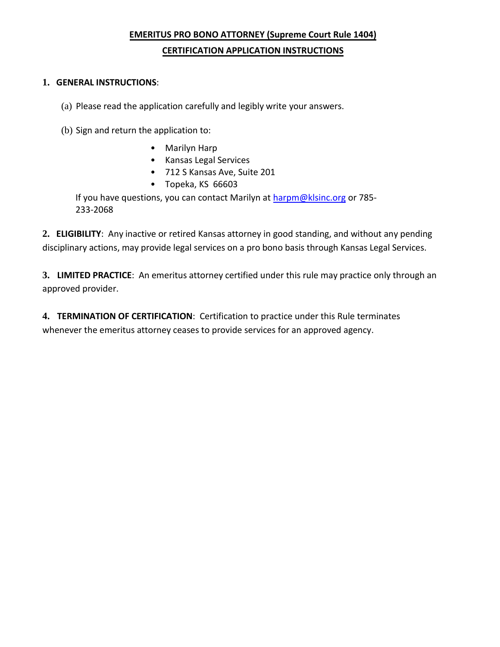# **EMERITUS PRO BONO ATTORNEY (Supreme Court Rule 1404) CERTIFICATION APPLICATION INSTRUCTIONS**

## **1. GENERAL INSTRUCTIONS**:

(a) Please read the application carefully and legibly write your answers.

- (b) Sign and return the application to:
	- Marilyn Harp
	- Kansas Legal Services
	- 712 S Kansas Ave, Suite 201
	- Topeka, KS 66603

If you have questions, you can contact Marilyn at [harpm@klsinc.org](mailto:harpm@klsinc.org) or 785-233-2068

**2. ELIGIBILITY**: Any inactive or retired Kansas attorney in good standing, and without any pending disciplinary actions, may provide legal services on a pro bono basis through Kansas Legal Services.

**3. LIMITED PRACTICE**: An emeritus attorney certified under this rule may practice only through an approved provider.

**4. TERMINATION OF CERTIFICATION**: Certification to practice under this Rule terminates whenever the emeritus attorney ceases to provide services for an approved agency.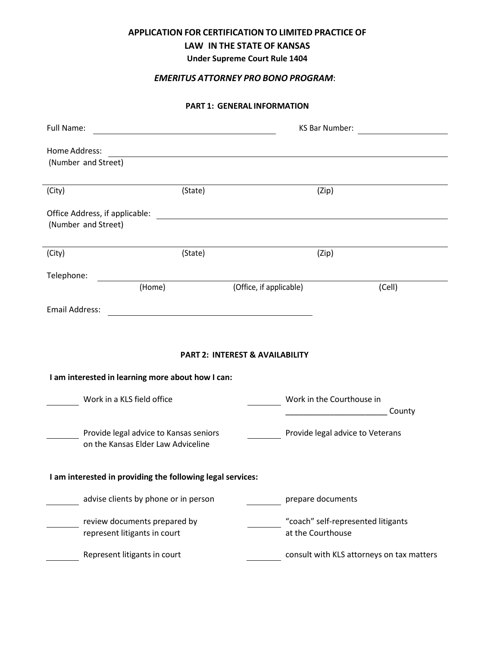### **APPLICATION FOR CERTIFICATION TO LIMITED PRACTICE OF**

## **LAW IN THE STATE OF KANSAS**

**Under Supreme Court Rule 1404**

## *EMERITUS ATTORNEY PRO BONO PROGRAM*:

#### **PART 1: GENERAL INFORMATION**

| Full Name:                                                                                      |                                                                              |                         | KS Bar Number:<br><u> 1980 - Jan Barat, prima politik (</u>                       |  |
|-------------------------------------------------------------------------------------------------|------------------------------------------------------------------------------|-------------------------|-----------------------------------------------------------------------------------|--|
| Home Address:<br>(Number and Street)                                                            |                                                                              |                         |                                                                                   |  |
| (State)<br>(City)                                                                               |                                                                              | (Zip)                   |                                                                                   |  |
| Office Address, if applicable:<br>(Number and Street)                                           |                                                                              |                         |                                                                                   |  |
| (City)                                                                                          | (State)                                                                      |                         | (Zip)                                                                             |  |
| Telephone:                                                                                      |                                                                              |                         |                                                                                   |  |
|                                                                                                 | (Home)                                                                       | (Office, if applicable) | (Cell)                                                                            |  |
| <b>Email Address:</b>                                                                           |                                                                              |                         |                                                                                   |  |
| <b>PART 2: INTEREST &amp; AVAILABILITY</b><br>I am interested in learning more about how I can: |                                                                              |                         |                                                                                   |  |
|                                                                                                 | Work in a KLS field office                                                   |                         | Work in the Courthouse in<br>County<br><u> 1990 - Johann John Stone, markin f</u> |  |
|                                                                                                 | Provide legal advice to Kansas seniors<br>on the Kansas Elder Law Adviceline |                         | Provide legal advice to Veterans                                                  |  |
| I am interested in providing the following legal services:                                      |                                                                              |                         |                                                                                   |  |
|                                                                                                 | advise clients by phone or in person                                         |                         | prepare documents                                                                 |  |
|                                                                                                 | review documents prepared by<br>represent litigants in court                 |                         | "coach" self-represented litigants<br>at the Courthouse                           |  |
|                                                                                                 | Represent litigants in court                                                 |                         | consult with KLS attorneys on tax matters                                         |  |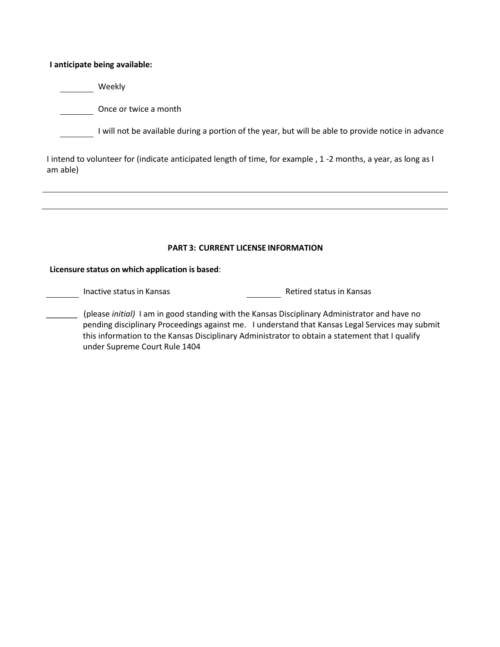**I anticipate being available:** 

Weekly

Once or twice a month

I will not be available during a portion of the year, but will be able to provide notice in advance

I intend to volunteer for (indicate anticipated length of time, for example , 1 -2 months, a year, as long as I am able)

#### **PART 3: CURRENT LICENSE INFORMATION**

#### **Licensure status on which application is based**:

Inactive status in Kansas **Retired status in Kansas** 

\_\_\_\_\_\_\_ (please *initial)* I am in good standing with the Kansas Disciplinary Administrator and have no pending disciplinary Proceedings against me. I understand that Kansas Legal Services may submit this information to the Kansas Disciplinary Administrator to obtain a statement that I qualify under Supreme Court Rule 1404